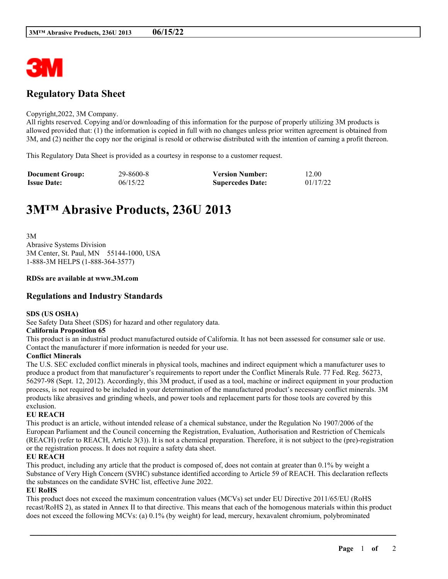

## **Regulatory Data Sheet**

#### Copyright,2022, 3M Company.

All rights reserved. Copying and/or downloading of this information for the purpose of properly utilizing 3M products is allowed provided that: (1) the information is copied in full with no changes unless prior written agreement is obtained from 3M, and (2) neither the copy nor the original is resold or otherwise distributed with the intention of earning a profit thereon.

This Regulatory Data Sheet is provided as a courtesy in response to a customer request.

| <b>Document Group:</b> | 29-8600-8 | <b>Version Number:</b>  | 12.00    |
|------------------------|-----------|-------------------------|----------|
| <b>Issue Date:</b>     | 06/15/22  | <b>Supercedes Date:</b> | 01/17/22 |

# **3M™ Abrasive Products, 236U 2013**

3M Abrasive Systems Division 3M Center, St. Paul, MN 55144-1000, USA 1-888-3M HELPS (1-888-364-3577)

#### **RDSs are available at www.3M.com**

## **Regulations and Industry Standards**

#### **SDS (US OSHA)**

See Safety Data Sheet (SDS) for hazard and other regulatory data.

#### **California Proposition 65**

This product is an industrial product manufactured outside of California. It has not been assessed for consumer sale or use. Contact the manufacturer if more information is needed for your use.

#### **Conflict Minerals**

The U.S. SEC excluded conflict minerals in physical tools, machines and indirect equipment which a manufacturer uses to produce a product from that manufacturer's requirements to report under the Conflict Minerals Rule. 77 Fed. Reg. 56273, 56297-98 (Sept. 12, 2012). Accordingly, this 3M product, if used as a tool, machine or indirect equipment in your production process, is not required to be included in your determination of the manufactured product's necessary conflict minerals. 3M products like abrasives and grinding wheels, and power tools and replacement parts for those tools are covered by this exclusion.

#### **EU REACH**

This product is an article, without intended release of a chemical substance, under the Regulation No 1907/2006 of the European Parliament and the Council concerning the Registration, Evaluation, Authorisation and Restriction of Chemicals (REACH) (refer to REACH, Article 3(3)). It is not a chemical preparation. Therefore, it is not subject to the (pre)-registration or the registration process. It does not require a safety data sheet.

#### **EU REACH**

This product, including any article that the product is composed of, does not contain at greater than 0.1% by weight a Substance of Very High Concern (SVHC) substance identified according to Article 59 of REACH. This declaration reflects the substances on the candidate SVHC list, effective June 2022.

#### **EU RoHS**

This product does not exceed the maximum concentration values (MCVs) set under EU Directive 2011/65/EU (RoHS recast/RoHS 2), as stated in Annex II to that directive. This means that each of the homogenous materials within this product does not exceed the following MCVs: (a) 0.1% (by weight) for lead, mercury, hexavalent chromium, polybrominated

\_\_\_\_\_\_\_\_\_\_\_\_\_\_\_\_\_\_\_\_\_\_\_\_\_\_\_\_\_\_\_\_\_\_\_\_\_\_\_\_\_\_\_\_\_\_\_\_\_\_\_\_\_\_\_\_\_\_\_\_\_\_\_\_\_\_\_\_\_\_\_\_\_\_\_\_\_\_\_\_\_\_\_\_\_\_\_\_\_\_